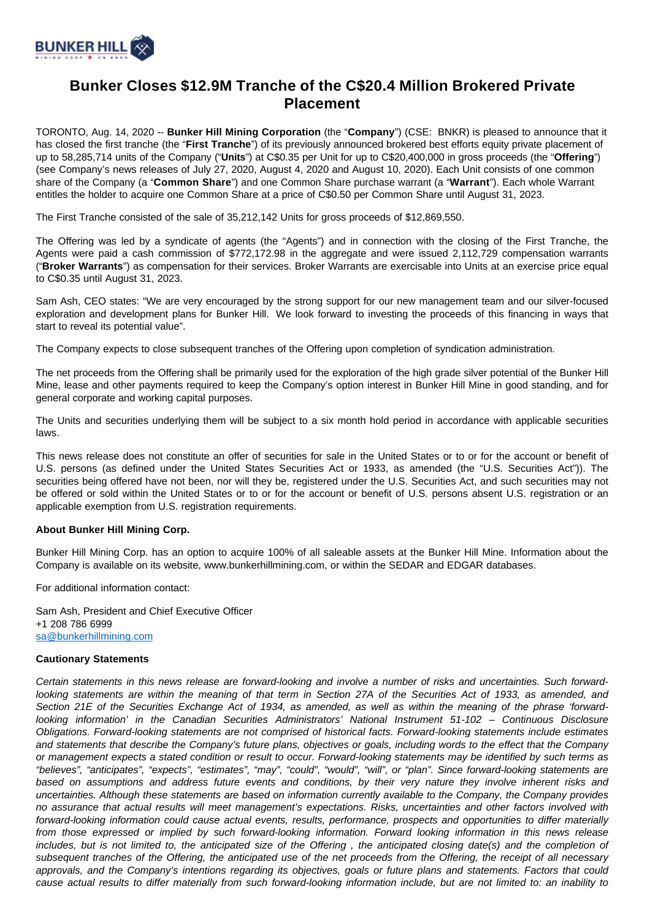

## **Bunker Closes \$12.9M Tranche of the C\$20.4 Million Brokered Private Placement**

TORONTO, Aug. 14, 2020 -- **Bunker Hill Mining Corporation** (the "**Company**") (CSE: BNKR) is pleased to announce that it has closed the first tranche (the "**First Tranche**") of its previously announced brokered best efforts equity private placement of up to 58,285,714 units of the Company ("**Units**") at C\$0.35 per Unit for up to C\$20,400,000 in gross proceeds (the "**Offering**") (see Company's news releases of July 27, 2020, August 4, 2020 and August 10, 2020). Each Unit consists of one common share of the Company (a "**Common Share**") and one Common Share purchase warrant (a "**Warrant**"). Each whole Warrant entitles the holder to acquire one Common Share at a price of C\$0.50 per Common Share until August 31, 2023.

The First Tranche consisted of the sale of 35,212,142 Units for gross proceeds of \$12,869,550.

The Offering was led by a syndicate of agents (the "Agents") and in connection with the closing of the First Tranche, the Agents were paid a cash commission of \$772,172.98 in the aggregate and were issued 2,112,729 compensation warrants ("**Broker Warrants**") as compensation for their services. Broker Warrants are exercisable into Units at an exercise price equal to C\$0.35 until August 31, 2023.

Sam Ash, CEO states: "We are very encouraged by the strong support for our new management team and our silver-focused exploration and development plans for Bunker Hill. We look forward to investing the proceeds of this financing in ways that start to reveal its potential value".

The Company expects to close subsequent tranches of the Offering upon completion of syndication administration.

The net proceeds from the Offering shall be primarily used for the exploration of the high grade silver potential of the Bunker Hill Mine, lease and other payments required to keep the Company's option interest in Bunker Hill Mine in good standing, and for general corporate and working capital purposes.

The Units and securities underlying them will be subject to a six month hold period in accordance with applicable securities laws.

This news release does not constitute an offer of securities for sale in the United States or to or for the account or benefit of U.S. persons (as defined under the United States Securities Act or 1933, as amended (the "U.S. Securities Act")). The securities being offered have not been, nor will they be, registered under the U.S. Securities Act, and such securities may not be offered or sold within the United States or to or for the account or benefit of U.S. persons absent U.S. registration or an applicable exemption from U.S. registration requirements.

## **About Bunker Hill Mining Corp.**

Bunker Hill Mining Corp. has an option to acquire 100% of all saleable assets at the Bunker Hill Mine. Information about the Company is available on its website, www.bunkerhillmining.com, or within the SEDAR and EDGAR databases.

For additional information contact:

Sam Ash, President and Chief Executive Officer +1 208 786 6999 [sa@bunkerhillmining.com](mailto:sa@bunkerhillmining.com)

## **Cautionary Statements**

Certain statements in this news release are forward-looking and involve a number of risks and uncertainties. Such forwardlooking statements are within the meaning of that term in Section 27A of the Securities Act of 1933, as amended, and Section 21E of the Securities Exchange Act of 1934, as amended, as well as within the meaning of the phrase 'forwardlooking information' in the Canadian Securities Administrators' National Instrument 51-102 – Continuous Disclosure Obligations. Forward-looking statements are not comprised of historical facts. Forward-looking statements include estimates and statements that describe the Company's future plans, objectives or goals, including words to the effect that the Company or management expects a stated condition or result to occur. Forward-looking statements may be identified by such terms as "believes", "anticipates", "expects", "estimates", "may", "could", "would", "will", or "plan". Since forward-looking statements are based on assumptions and address future events and conditions, by their very nature they involve inherent risks and uncertainties. Although these statements are based on information currently available to the Company, the Company provides no assurance that actual results will meet management's expectations. Risks, uncertainties and other factors involved with forward-looking information could cause actual events, results, performance, prospects and opportunities to differ materially from those expressed or implied by such forward-looking information. Forward looking information in this news release includes, but is not limited to, the anticipated size of the Offering , the anticipated closing date(s) and the completion of subsequent tranches of the Offering, the anticipated use of the net proceeds from the Offering, the receipt of all necessary approvals, and the Company's intentions regarding its objectives, goals or future plans and statements. Factors that could cause actual results to differ materially from such forward-looking information include, but are not limited to: an inability to